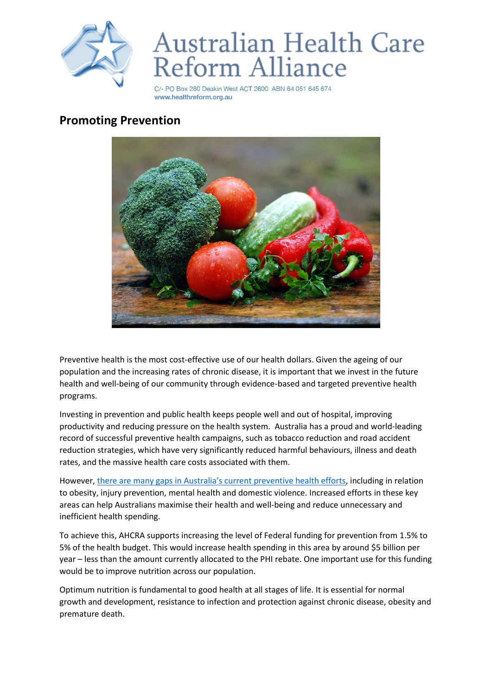

## Australian Health Care<br>Reform Alliance

C/- PO Box 280 Deakin West ACT 2600 ABN 64 051 645 674 www.healthreform.org.au

## **Promoting Prevention**



Preventive health is the most cost-effective use of our health dollars. Given the ageing of our population and the increasing rates of chronic disease, it is important that we invest in the future health and well-being of our community through evidence-based and targeted preventive health programs.

Investing in prevention and public health keeps people well and out of hospital, improving productivity and reducing pressure on the health system. Australia has a proud and world-leading record of successful preventive health campaigns, such as tobacco reduction and road accident reduction strategies, which have very significantly reduced harmful behaviours, illness and death rates, and the massive health care costs associated with them.

However, there are many gaps in Australi[a's current preventive health efforts](https://www.healthpromotion.org.au/images/Health_Promotion_and_Illness_Prevention_Background_Paper_draft.pdf), including in relation to obesity, injury prevention, mental health and domestic violence. Increased efforts in these key areas can help Australians maximise their health and well-being and reduce unnecessary and inefficient health spending.

To achieve this, AHCRA supports increasing the level of Federal funding for prevention from 1.5% to 5% of the health budget. This would increase health spending in this area by around \$5 billion per year – less than the amount currently allocated to the PHI rebate. One important use for this funding would be to improve nutrition across our population.

Optimum nutrition is fundamental to good health at all stages of life. It is essential for normal growth and development, resistance to infection and protection against chronic disease, obesity and premature death.